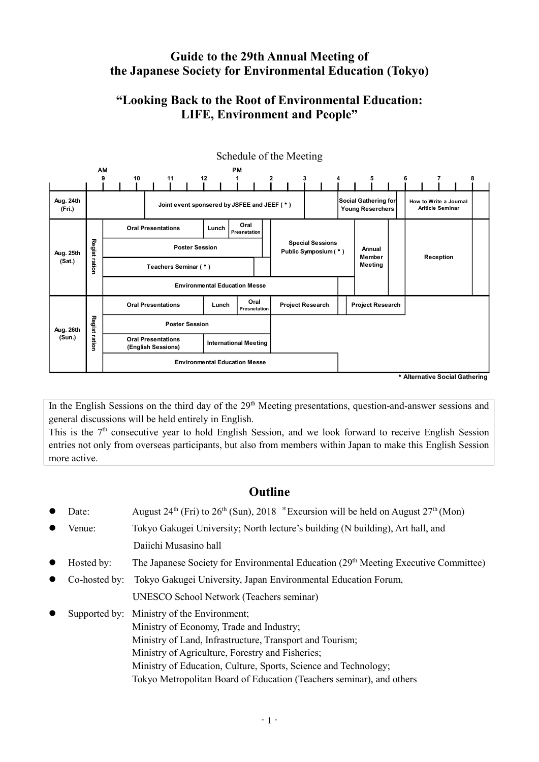# **Guide to the 29th Annual Meeting of the Japanese Society for Environmental Education (Tokyo)**

# **"Looking Back to the Root of Environmental Education: LIFE, Environment and People"**



In the English Sessions on the third day of the 29<sup>th</sup> Meeting presentations, question-and-answer sessions and general discussions will be held entirely in English.

This is the 7<sup>th</sup> consecutive year to hold English Session, and we look forward to receive English Session entries not only from overseas participants, but also from members within Japan to make this English Session more active.

# **Outline**

- Date: August  $24<sup>th</sup>$  (Fri) to  $26<sup>th</sup>$  (Sun),  $2018$  \*Excursion will be held on August  $27<sup>th</sup>$  (Mon)
- Venue: Tokyo Gakugei University; North lecture's building (N building), Art hall, and Daiichi Musasino hall
- $\bullet$  Hosted by: The Japanese Society for Environmental Education (29<sup>th</sup> Meeting Executive Committee)
- Co-hosted by: Tokyo Gakugei University, Japan Environmental Education Forum,

UNESCO School Network (Teachers seminar)

 Supported by: Ministry of the Environment; Ministry of Economy, Trade and Industry; Ministry of Land, Infrastructure, Transport and Tourism; Ministry of Agriculture, Forestry and Fisheries; Ministry of Education, Culture, Sports, Science and Technology; Tokyo Metropolitan Board of Education (Teachers seminar), and others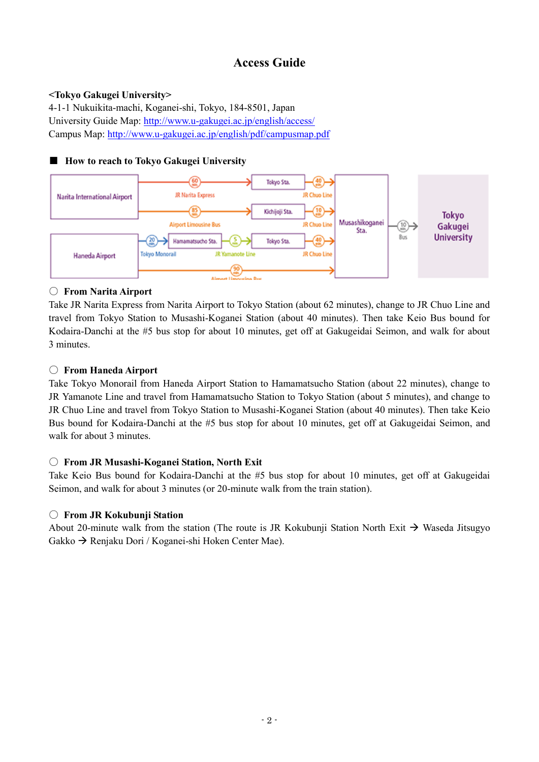# **Access Guide**

## **<Tokyo Gakugei University>**

4-1-1 Nukuikita-machi, Koganei-shi, Tokyo, 184-8501, Japan University Guide Map:<http://www.u-gakugei.ac.jp/english/access/> Campus Map: <http://www.u-gakugei.ac.jp/english/pdf/campusmap.pdf>

## ■ **How to reach to Tokyo Gakugei University**



### ○ **From Narita Airport**

Take JR Narita Express from Narita Airport to Tokyo Station (about 62 minutes), change to JR Chuo Line and travel from Tokyo Station to Musashi-Koganei Station (about 40 minutes). Then take Keio Bus bound for Kodaira-Danchi at the #5 bus stop for about 10 minutes, get off at Gakugeidai Seimon, and walk for about 3 minutes.

### 〇 **From Haneda Airport**

Take Tokyo Monorail from Haneda Airport Station to Hamamatsucho Station (about 22 minutes), change to JR Yamanote Line and travel from Hamamatsucho Station to Tokyo Station (about 5 minutes), and change to JR Chuo Line and travel from Tokyo Station to Musashi-Koganei Station (about 40 minutes). Then take Keio Bus bound for Kodaira-Danchi at the #5 bus stop for about 10 minutes, get off at Gakugeidai Seimon, and walk for about 3 minutes.

### 〇 **From JR Musashi-Koganei Station, North Exit**

Take Keio Bus bound for Kodaira-Danchi at the #5 bus stop for about 10 minutes, get off at Gakugeidai Seimon, and walk for about 3 minutes (or 20-minute walk from the train station).

### 〇 **From JR Kokubunji Station**

About 20-minute walk from the station (The route is JR Kokubunji Station North Exit  $\rightarrow$  Waseda Jitsugyo  $Gakko \rightarrow Reniaku Dori / Koeganei-shi Hoken Center Mae)$ .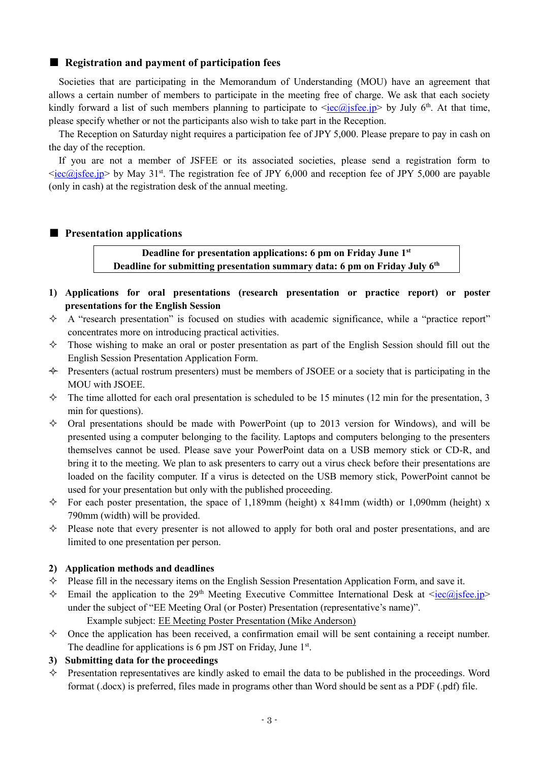#### ■ **Registration and payment of participation fees**

 Societies that are participating in the Memorandum of Understanding (MOU) have an agreement that allows a certain number of members to participate in the meeting free of charge. We ask that each society kindly forward a list of such members planning to participate to  $\langle iec@j_1 \rangle$  by July 6<sup>th</sup>. At that time, please specify whether or not the participants also wish to take part in the Reception.

 The Reception on Saturday night requires a participation fee of JPY 5,000. Please prepare to pay in cash on the day of the reception.

 If you are not a member of JSFEE or its associated societies, please send a registration form to  $\langle i\epsilon \rangle$  iec $\langle \omega j\epsilon \rangle$  by May 31<sup>st</sup>. The registration fee of JPY 6,000 and reception fee of JPY 5,000 are payable (only in cash) at the registration desk of the annual meeting.

#### ■ **Presentation applications**

**Deadline for presentation applications: 6 pm on Friday June 1st Deadline for submitting presentation summary data: 6 pm on Friday July 6th**

- **1) Applications for oral presentations (research presentation or practice report) or poster presentations for the English Session**
- $\Diamond$  A "research presentation" is focused on studies with academic significance, while a "practice report" concentrates more on introducing practical activities.
- $\Diamond$  Those wishing to make an oral or poster presentation as part of the English Session should fill out the English Session Presentation Application Form.
- $\leftrightarrow$  Presenters (actual rostrum presenters) must be members of JSOEE or a society that is participating in the MOU with JSOEE.
- $\Diamond$  The time allotted for each oral presentation is scheduled to be 15 minutes (12 min for the presentation, 3 min for questions).
- $\Diamond$  Oral presentations should be made with PowerPoint (up to 2013 version for Windows), and will be presented using a computer belonging to the facility. Laptops and computers belonging to the presenters themselves cannot be used. Please save your PowerPoint data on a USB memory stick or CD-R, and bring it to the meeting. We plan to ask presenters to carry out a virus check before their presentations are loaded on the facility computer. If a virus is detected on the USB memory stick, PowerPoint cannot be used for your presentation but only with the published proceeding.
- $\Diamond$  For each poster presentation, the space of 1,189mm (height) x 841mm (width) or 1,090mm (height) x 790mm (width) will be provided.
- $\Diamond$  Please note that every presenter is not allowed to apply for both oral and poster presentations, and are limited to one presentation per person.

#### **2) Application methods and deadlines**

- $\Diamond$  Please fill in the necessary items on the English Session Presentation Application Form, and save it.
- $\Diamond$  Email the application to the 29<sup>th</sup> Meeting Executive Committee International Desk at  $\langle iec@jsfee.jp\rangle$ under the subject of "EE Meeting Oral (or Poster) Presentation (representative's name)". Example subject: EE Meeting Poster Presentation (Mike Anderson)
- $\diamond$  Once the application has been received, a confirmation email will be sent containing a receipt number. The deadline for applications is 6 pm JST on Friday, June 1st.

#### **3) Submitting data for the proceedings**

 $\Diamond$  Presentation representatives are kindly asked to email the data to be published in the proceedings. Word format (.docx) is preferred, files made in programs other than Word should be sent as a PDF (.pdf) file.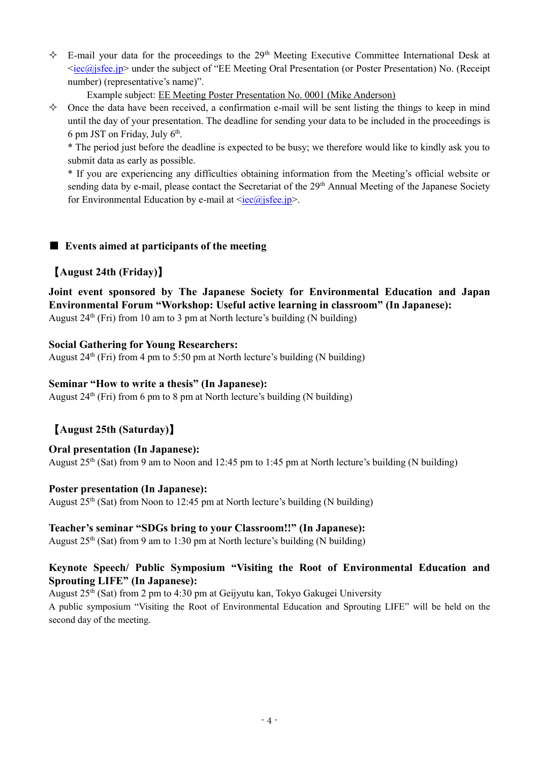$\div$  E-mail your data for the proceedings to the 29<sup>th</sup> Meeting Executive Committee International Desk at  $\langle i\epsilon c/\hat{a} \rangle$  is fee.jp> under the subject of "EE Meeting Oral Presentation (or Poster Presentation) No. (Receipt number) (representative's name)".

Example subject: EE Meeting Poster Presentation No. 0001 (Mike Anderson)

 $\diamond$  Once the data have been received, a confirmation e-mail will be sent listing the things to keep in mind until the day of your presentation. The deadline for sending your data to be included in the proceedings is 6 pm JST on Friday, July 6 th .

\* The period just before the deadline is expected to be busy; we therefore would like to kindly ask you to submit data as early as possible.

\* If you are experiencing any difficulties obtaining information from the Meeting's official website or sending data by e-mail, please contact the Secretariat of the 29<sup>th</sup> Annual Meeting of the Japanese Society for Environmental Education by e-mail at  $\leq$ iec $\omega$ isfee.jp>.

## ■ **Events aimed at participants of the meeting**

## 【**August 24th (Friday)**】

# **Joint event sponsored by The Japanese Society for Environmental Education and Japan Environmental Forum "Workshop: Useful active learning in classroom" (In Japanese):**

August  $24<sup>th</sup>$  (Fri) from 10 am to 3 pm at North lecture's building (N building)

### **Social Gathering for Young Researchers:**

August  $24<sup>th</sup>$  (Fri) from 4 pm to 5:50 pm at North lecture's building (N building)

### **Seminar "How to write a thesis" (In Japanese):**

August  $24<sup>th</sup>$  (Fri) from 6 pm to 8 pm at North lecture's building (N building)

# 【**August 25th (Saturday)**】

### **Oral presentation (In Japanese):**

August 25th (Sat) from 9 am to Noon and 12:45 pm to 1:45 pm at North lecture's building (N building)

### **Poster presentation (In Japanese):**

August  $25<sup>th</sup>$  (Sat) from Noon to 12:45 pm at North lecture's building (N building)

### **Teacher's seminar "SDGs bring to your Classroom!!" (In Japanese):**

August  $25<sup>th</sup>$  (Sat) from 9 am to 1:30 pm at North lecture's building (N building)

## **Keynote Speech/ Public Symposium "Visiting the Root of Environmental Education and Sprouting LIFE" (In Japanese):**

August 25th (Sat) from 2 pm to 4:30 pm at Geijyutu kan, Tokyo Gakugei University

A public symposium "Visiting the Root of Environmental Education and Sprouting LIFE" will be held on the second day of the meeting.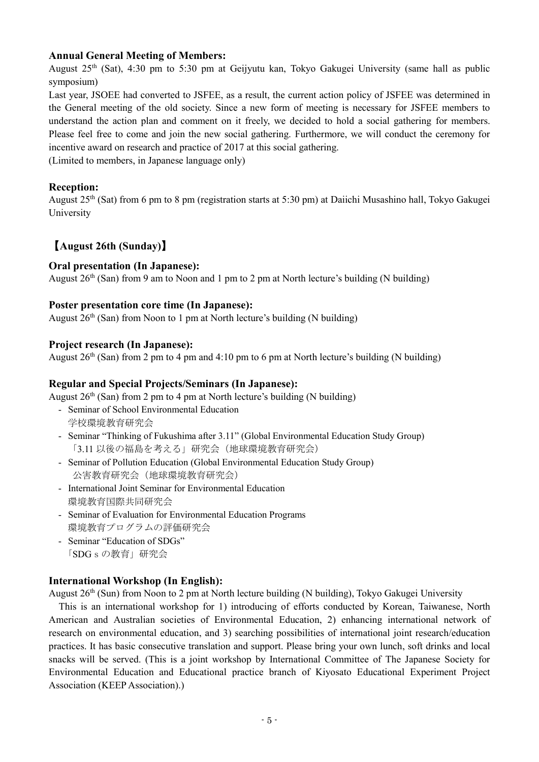## **Annual General Meeting of Members:**

August  $25<sup>th</sup>$  (Sat), 4:30 pm to 5:30 pm at Geijyutu kan, Tokyo Gakugei University (same hall as public symposium)

Last year, JSOEE had converted to JSFEE, as a result, the current action policy of JSFEE was determined in the General meeting of the old society. Since a new form of meeting is necessary for JSFEE members to understand the action plan and comment on it freely, we decided to hold a social gathering for members. Please feel free to come and join the new social gathering. Furthermore, we will conduct the ceremony for incentive award on research and practice of 2017 at this social gathering.

(Limited to members, in Japanese language only)

### **Reception:**

August 25th (Sat) from 6 pm to 8 pm (registration starts at 5:30 pm) at Daiichi Musashino hall, Tokyo Gakugei University

## 【**August 26th (Sunday)**】

### **Oral presentation (In Japanese):**

August  $26<sup>th</sup>$  (San) from 9 am to Noon and 1 pm to 2 pm at North lecture's building (N building)

### **Poster presentation core time (In Japanese):**

August  $26<sup>th</sup>$  (San) from Noon to 1 pm at North lecture's building (N building)

### **Project research (In Japanese):**

August  $26<sup>th</sup>$  (San) from 2 pm to 4 pm and 4:10 pm to 6 pm at North lecture's building (N building)

### **Regular and Special Projects/Seminars (In Japanese):**

August  $26<sup>th</sup>$  (San) from 2 pm to 4 pm at North lecture's building (N building)

- Seminar of School Environmental Education 学校環境教育研究会
- Seminar "Thinking of Fukushima after 3.11" (Global Environmental Education Study Group) 「3.11 以後の福島を考える」研究会(地球環境教育研究会)
- Seminar of Pollution Education (Global Environmental Education Study Group) 公害教育研究会(地球環境教育研究会)
- International Joint Seminar for Environmental Education 環境教育国際共同研究会
- Seminar of Evaluation for Environmental Education Programs 環境教育プログラムの評価研究会
- Seminar "Education of SDGs" 「SDGsの教育」研究会

### **International Workshop (In English):**

August 26th (Sun) from Noon to 2 pm at North lecture building (N building), Tokyo Gakugei University

This is an international workshop for 1) introducing of efforts conducted by Korean, Taiwanese, North American and Australian societies of Environmental Education, 2) enhancing international network of research on environmental education, and 3) searching possibilities of international joint research/education practices. It has basic consecutive translation and support. Please bring your own lunch, soft drinks and local snacks will be served. (This is a joint workshop by International Committee of The Japanese Society for Environmental Education and Educational practice branch of Kiyosato Educational Experiment Project Association (KEEP Association).)